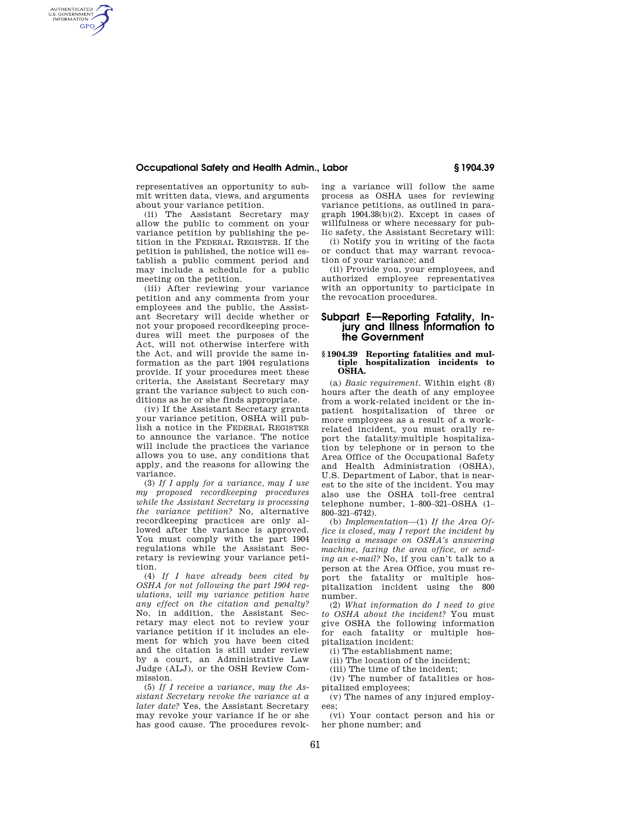## **Occupational Safety and Health Admin., Labor § 1904.39**

representatives an opportunity to submit written data, views, and arguments about your variance petition.

AUTHENTICATED<br>U.S. GOVERNMENT<br>INFORMATION **GPO** 

> (ii) The Assistant Secretary may allow the public to comment on your variance petition by publishing the petition in the FEDERAL REGISTER. If the petition is published, the notice will establish a public comment period and may include a schedule for a public meeting on the petition.

> (iii) After reviewing your variance petition and any comments from your employees and the public, the Assistant Secretary will decide whether or not your proposed recordkeeping procedures will meet the purposes of the Act, will not otherwise interfere with the Act, and will provide the same information as the part 1904 regulations provide. If your procedures meet these criteria, the Assistant Secretary may grant the variance subject to such conditions as he or she finds appropriate.

> (iv) If the Assistant Secretary grants your variance petition, OSHA will publish a notice in the FEDERAL REGISTER to announce the variance. The notice will include the practices the variance allows you to use, any conditions that apply, and the reasons for allowing the variance.

> (3) *If I apply for a variance, may I use my proposed recordkeeping procedures while the Assistant Secretary is processing the variance petition?* No, alternative recordkeeping practices are only allowed after the variance is approved. You must comply with the part 1904 regulations while the Assistant Secretary is reviewing your variance petition.

> (4) *If I have already been cited by OSHA for not following the part 1904 regulations, will my variance petition have any effect on the citation and penalty?*  No, in addition, the Assistant Secretary may elect not to review your variance petition if it includes an element for which you have been cited and the citation is still under review by a court, an Administrative Law Judge (ALJ), or the OSH Review Commission.

> (5) *If I receive a variance, may the Assistant Secretary revoke the variance at a later date?* Yes, the Assistant Secretary may revoke your variance if he or she has good cause. The procedures revok

ing a variance will follow the same process as OSHA uses for reviewing variance petitions, as outlined in paragraph 1904.38(b)(2). Except in cases of willfulness or where necessary for public safety, the Assistant Secretary will:

(i) Notify you in writing of the facts or conduct that may warrant revocation of your variance; and

(ii) Provide you, your employees, and authorized employee representatives with an opportunity to participate in the revocation procedures.

# **Subpart E—Reporting Fatality, Injury and Illness Information to the Government**

### **§ 1904.39 Reporting fatalities and multiple hospitalization incidents to OSHA.**

(a) *Basic requirement.* Within eight (8) hours after the death of any employee from a work-related incident or the inpatient hospitalization of three or more employees as a result of a workrelated incident, you must orally report the fatality/multiple hospitalization by telephone or in person to the Area Office of the Occupational Safety and Health Administration (OSHA), U.S. Department of Labor, that is nearest to the site of the incident. You may also use the OSHA toll-free central telephone number, 1–800–321–OSHA (1– 800–321–6742).

(b) *Implementation*—(1) *If the Area Office is closed, may I report the incident by leaving a message on OSHA's answering machine, faxing the area office, or sending an e-mail?* No, if you can't talk to a person at the Area Office, you must report the fatality or multiple hospitalization incident using the 800 number.

(2) *What information do I need to give to OSHA about the incident?* You must give OSHA the following information for each fatality or multiple hospitalization incident:

(i) The establishment name;

(ii) The location of the incident;

(iii) The time of the incident;

(iv) The number of fatalities or hospitalized employees;

(v) The names of any injured employees;

(vi) Your contact person and his or her phone number; and